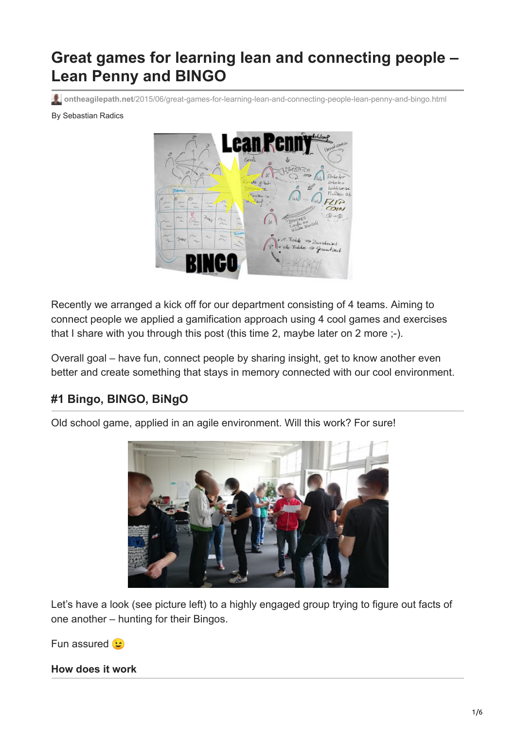# **Great games for learning lean and connecting people – Lean Penny and BINGO**

**ontheagilepath.net**[/2015/06/great-games-for-learning-lean-and-connecting-people-lean-penny-and-bingo.html](https://www.ontheagilepath.net/2015/06/great-games-for-learning-lean-and-connecting-people-lean-penny-and-bingo.html)

#### By Sebastian Radics



Recently we arranged a kick off for our department consisting of 4 teams. Aiming to connect people we applied a gamification approach using 4 cool games and exercises that I share with you through this post (this time 2, maybe later on 2 more ;-).

Overall goal – have fun, connect people by sharing insight, get to know another even better and create something that stays in memory connected with our cool environment.

# **#1 Bingo, BINGO, BiNgO**

Old school game, applied in an agile environment. Will this work? For sure!



Let's have a look (see picture left) to a highly engaged group trying to figure out facts of one another – hunting for their Bingos.

Fun assured **B** 

**How does it work**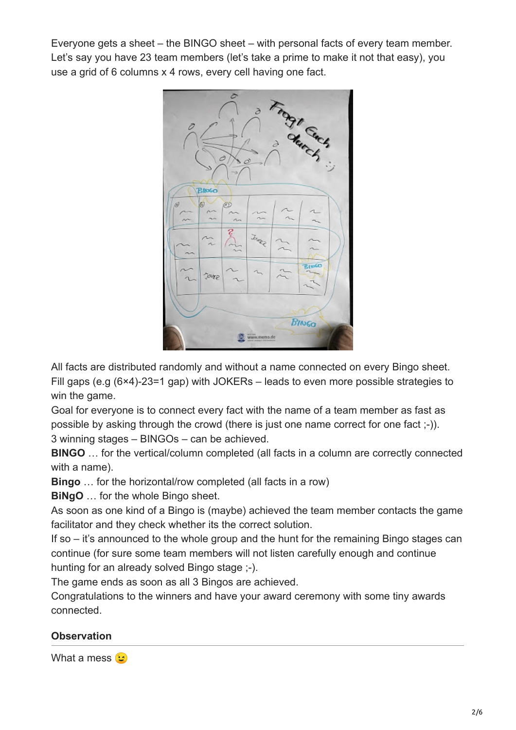Everyone gets a sheet – the BINGO sheet – with personal facts of every team member. Let's say you have 23 team members (let's take a prime to make it not that easy), you use a grid of 6 columns x 4 rows, every cell having one fact.



All facts are distributed randomly and without a name connected on every Bingo sheet. Fill gaps (e.g (6×4)-23=1 gap) with JOKERs – leads to even more possible strategies to win the game.

Goal for everyone is to connect every fact with the name of a team member as fast as possible by asking through the crowd (there is just one name correct for one fact ;-)). 3 winning stages – BINGOs – can be achieved.

**BINGO** … for the vertical/column completed (all facts in a column are correctly connected with a name).

**Bingo** … for the horizontal/row completed (all facts in a row)

**BiNgO** … for the whole Bingo sheet.

As soon as one kind of a Bingo is (maybe) achieved the team member contacts the game facilitator and they check whether its the correct solution.

If so – it's announced to the whole group and the hunt for the remaining Bingo stages can continue (for sure some team members will not listen carefully enough and continue hunting for an already solved Bingo stage ;-).

The game ends as soon as all 3 Bingos are achieved.

Congratulations to the winners and have your award ceremony with some tiny awards connected.

## **Observation**

What a mess **(**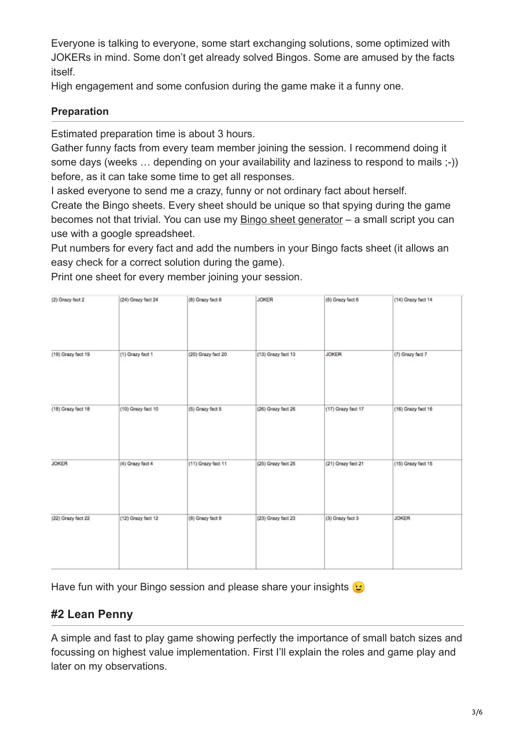Everyone is talking to everyone, some start exchanging solutions, some optimized with JOKERs in mind. Some don't get already solved Bingos. Some are amused by the facts itself.

High engagement and some confusion during the game make it a funny one.

## **Preparation**

Estimated preparation time is about 3 hours.

Gather funny facts from every team member joining the session. I recommend doing it some days (weeks … depending on your availability and laziness to respond to mails ;-)) before, as it can take some time to get all responses.

I asked everyone to send me a crazy, funny or not ordinary fact about herself.

Create the Bingo sheets. Every sheet should be unique so that spying during the game becomes not that trivial. You can use my **[Bingo sheet generator](https://docs.google.com/document/d/1RtCqNMv9YM1JAgF0NkM92vDnX2bg9_P6Niy9PiB1-Pk/edit?usp=sharing)** – a small script you can use with a google spreadsheet.

Put numbers for every fact and add the numbers in your Bingo facts sheet (it allows an easy check for a correct solution during the game).

(2) Grazy fact 2 **JOKER** (24) Grazy fact 24 (8) Grazy fact 8 (6) Grazy fact 6 (14) Grazy fact 14 (19) Grazy fact 19 (13) Grazy fact 13 **JOKER** (1) Grazy fact 1 (20) Grazy fact 20 (7) Grazy fact 7 (18) Grazy fact 18 (10) Grazy fact 10 (5) Grazy fact 5 (26) Grazy fact 26 (17) Grazy fact 17 (16) Grazy fact 16 **JOKER** (25) Grazy fact 25 (4) Grazy fact 4 (11) Grazy fact 11 (21) Grazy fact 21 (15) Grazy fact 15 (22) Grazy fact 22 (12) Grazy fact 12 (9) Grazy fact 9 (23) Grazy fact 23 (3) Grazy fact 3 **JOKER** 

Print one sheet for every member joining your session.

Have fun with your Bingo session and please share your insights  $\bigcirc$ 

# **#2 Lean Penny**

A simple and fast to play game showing perfectly the importance of small batch sizes and focussing on highest value implementation. First I'll explain the roles and game play and later on my observations.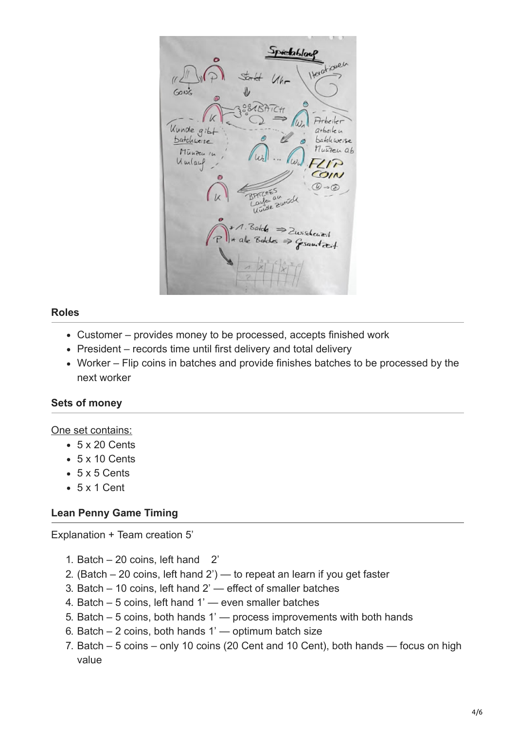*<u>Predablout</u>* Scr  $60k$ Kunde gib  $arbaileu$ batchweise *<u>batchweise</u>* nutren ab Mūnzen In Umlauf  $1\overline{P}$ COIN  $\circledcirc$  -  $\circledcirc$  $\sqrt{2}$ 21 Batch  $=$  Zwisheart  $\Rightarrow$  growtat

## **Roles**

- Customer provides money to be processed, accepts finished work
- President records time until first delivery and total delivery
- Worker Flip coins in batches and provide finishes batches to be processed by the next worker

## **Sets of money**

#### One set contains:

- $-5 \times 20$  Cents
- 5 x 10 Cents
- $-5x5$  Cents
- 5 x 1 Cent

## **Lean Penny Game Timing**

Explanation + Team creation 5'

- 1. Batch 20 coins, left hand 2'
- 2. (Batch  $-$  20 coins, left hand  $2'$ ) to repeat an learn if you get faster
- 3. Batch 10 coins, left hand 2' effect of smaller batches
- 4. Batch 5 coins, left hand 1' even smaller batches
- 5. Batch 5 coins, both hands 1' process improvements with both hands
- 6. Batch  $-2$  coins, both hands 1' optimum batch size
- 7. Batch 5 coins only 10 coins (20 Cent and 10 Cent), both hands focus on high value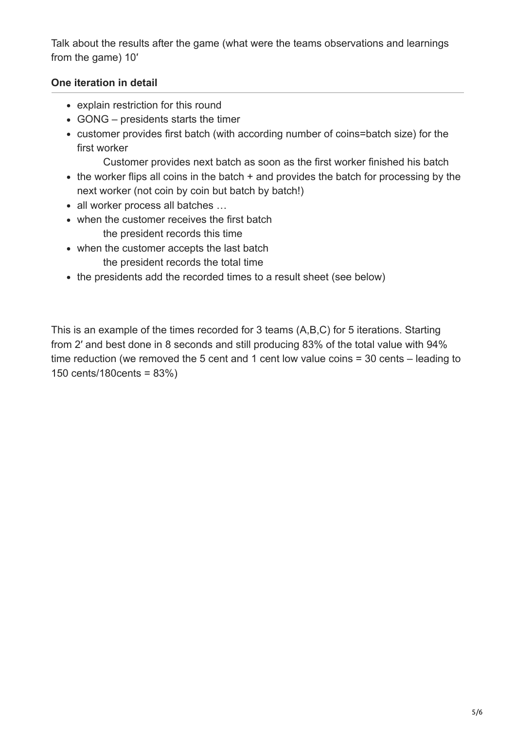Talk about the results after the game (what were the teams observations and learnings from the game) 10′

## **One iteration in detail**

- explain restriction for this round
- GONG presidents starts the timer
- customer provides first batch (with according number of coins=batch size) for the first worker

Customer provides next batch as soon as the first worker finished his batch

- $\bullet$  the worker flips all coins in the batch  $+$  and provides the batch for processing by the next worker (not coin by coin but batch by batch!)
- all worker process all batches …
- when the customer receives the first batch the president records this time
- when the customer accepts the last batch the president records the total time
- the presidents add the recorded times to a result sheet (see below)

This is an example of the times recorded for 3 teams (A,B,C) for 5 iterations. Starting from 2′ and best done in 8 seconds and still producing 83% of the total value with 94% time reduction (we removed the 5 cent and 1 cent low value coins = 30 cents – leading to 150 cents/180cents = 83%)